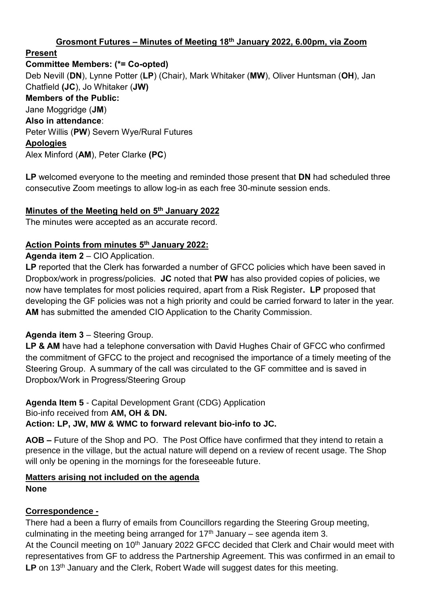### **Grosmont Futures – Minutes of Meeting 18th January 2022, 6.00pm, via Zoom**

**Present**

**Committee Members: (\*= Co-opted)** Deb Nevill (**DN**), Lynne Potter (**LP**) (Chair), Mark Whitaker (**MW**), Oliver Huntsman (**OH**), Jan Chatfield **(JC**), Jo Whitaker (**JW) Members of the Public:** Jane Moggridge (**JM**) **Also in attendance**: Peter Willis (**PW**) Severn Wye/Rural Futures **Apologies** Alex Minford (**AM**), Peter Clarke **(PC**)

**LP** welcomed everyone to the meeting and reminded those present that **DN** had scheduled three consecutive Zoom meetings to allow log-in as each free 30-minute session ends.

#### **Minutes of the Meeting held on 5 th January 2022**

The minutes were accepted as an accurate record.

#### **Action Points from minutes 5 th January 2022:**

**Agenda item 2** – CIO Application.

LP reported that the Clerk has forwarded a number of GFCC policies which have been saved in Dropbox/work in progress/policies. **JC** noted that **PW** has also provided copies of policies, we now have templates for most policies required, apart from a Risk Register**. LP** proposed that developing the GF policies was not a high priority and could be carried forward to later in the year. **AM** has submitted the amended CIO Application to the Charity Commission.

#### **Agenda item 3** – Steering Group.

**LP & AM** have had a telephone conversation with David Hughes Chair of GFCC who confirmed the commitment of GFCC to the project and recognised the importance of a timely meeting of the Steering Group. A summary of the call was circulated to the GF committee and is saved in Dropbox/Work in Progress/Steering Group

# **Agenda Item 5** - Capital Development Grant (CDG) Application Bio-info received from **AM, OH & DN.**

### **Action: LP, JW, MW & WMC to forward relevant bio-info to JC.**

**AOB –** Future of the Shop and PO. The Post Office have confirmed that they intend to retain a presence in the village, but the actual nature will depend on a review of recent usage. The Shop will only be opening in the mornings for the foreseeable future.

#### **Matters arising not included on the agenda None**

#### **Correspondence -**

There had a been a flurry of emails from Councillors regarding the Steering Group meeting, culminating in the meeting being arranged for  $17<sup>th</sup>$  January – see agenda item 3. At the Council meeting on 10<sup>th</sup> January 2022 GFCC decided that Clerk and Chair would meet with representatives from GF to address the Partnership Agreement. This was confirmed in an email to LP on 13<sup>th</sup> January and the Clerk, Robert Wade will suggest dates for this meeting.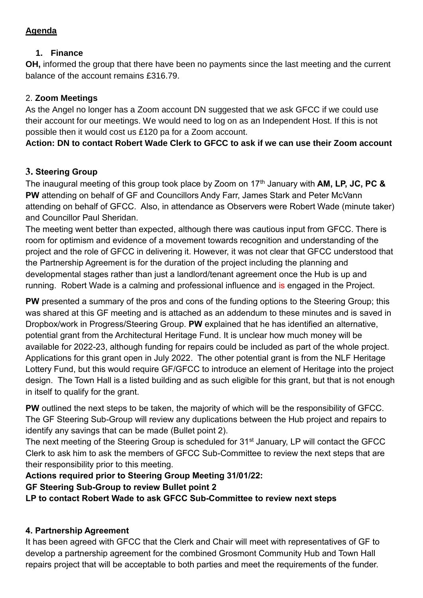### **Agenda**

### **1. Finance**

**OH,** informed the group that there have been no payments since the last meeting and the current balance of the account remains £316.79.

## 2. **Zoom Meetings**

As the Angel no longer has a Zoom account DN suggested that we ask GFCC if we could use their account for our meetings. We would need to log on as an Independent Host. If this is not possible then it would cost us £120 pa for a Zoom account.

**Action: DN to contact Robert Wade Clerk to GFCC to ask if we can use their Zoom account** 

## **3. Steering Group**

The inaugural meeting of this group took place by Zoom on 17<sup>th</sup> January with **AM, LP, JC, PC & PW** attending on behalf of GF and Councillors Andy Farr, James Stark and Peter McVann attending on behalf of GFCC. Also, in attendance as Observers were Robert Wade (minute taker) and Councillor Paul Sheridan.

The meeting went better than expected, although there was cautious input from GFCC. There is room for optimism and evidence of a movement towards recognition and understanding of the project and the role of GFCC in delivering it. However, it was not clear that GFCC understood that the Partnership Agreement is for the duration of the project including the planning and developmental stages rather than just a landlord/tenant agreement once the Hub is up and running. Robert Wade is a calming and professional influence and is engaged in the Project.

**PW** presented a summary of the pros and cons of the funding options to the Steering Group; this was shared at this GF meeting and is attached as an addendum to these minutes and is saved in Dropbox/work in Progress/Steering Group. **PW** explained that he has identified an alternative, potential grant from the Architectural Heritage Fund. It is unclear how much money will be available for 2022-23, although funding for repairs could be included as part of the whole project. Applications for this grant open in July 2022. The other potential grant is from the NLF Heritage Lottery Fund, but this would require GF/GFCC to introduce an element of Heritage into the project design. The Town Hall is a listed building and as such eligible for this grant, but that is not enough in itself to qualify for the grant.

**PW** outlined the next steps to be taken, the majority of which will be the responsibility of GFCC. The GF Steering Sub-Group will review any duplications between the Hub project and repairs to identify any savings that can be made (Bullet point 2).

The next meeting of the Steering Group is scheduled for 31<sup>st</sup> January, LP will contact the GFCC Clerk to ask him to ask the members of GFCC Sub-Committee to review the next steps that are their responsibility prior to this meeting.

## **Actions required prior to Steering Group Meeting 31/01/22:**

### **GF Steering Sub-Group to review Bullet point 2**

**LP to contact Robert Wade to ask GFCC Sub-Committee to review next steps** 

## **4. Partnership Agreement**

It has been agreed with GFCC that the Clerk and Chair will meet with representatives of GF to develop a partnership agreement for the combined Grosmont Community Hub and Town Hall repairs project that will be acceptable to both parties and meet the requirements of the funder.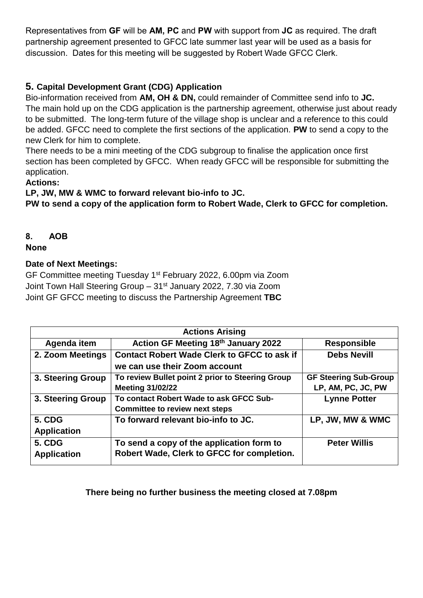Representatives from **GF** will be **AM, PC** and **PW** with support from **JC** as required. The draft partnership agreement presented to GFCC late summer last year will be used as a basis for discussion. Dates for this meeting will be suggested by Robert Wade GFCC Clerk.

## **5. Capital Development Grant (CDG) Application**

Bio-information received from **AM, OH & DN,** could remainder of Committee send info to **JC.**  The main hold up on the CDG application is the partnership agreement, otherwise just about ready to be submitted. The long-term future of the village shop is unclear and a reference to this could be added. GFCC need to complete the first sections of the application. **PW** to send a copy to the new Clerk for him to complete.

There needs to be a mini meeting of the CDG subgroup to finalise the application once first section has been completed by GFCC. When ready GFCC will be responsible for submitting the application.

### **Actions:**

**LP, JW, MW & WMC to forward relevant bio-info to JC.** 

**PW to send a copy of the application form to Robert Wade, Clerk to GFCC for completion.**

### **8. AOB**

**None** 

### **Date of Next Meetings:**

GF Committee meeting Tuesday 1<sup>st</sup> February 2022, 6.00pm via Zoom Joint Town Hall Steering Group - 31<sup>st</sup> January 2022, 7.30 via Zoom Joint GF GFCC meeting to discuss the Partnership Agreement **TBC**

| <b>Actions Arising</b> |                                                    |                              |  |  |
|------------------------|----------------------------------------------------|------------------------------|--|--|
| Agenda item            | Action GF Meeting 18th January 2022                | <b>Responsible</b>           |  |  |
| 2. Zoom Meetings       | <b>Contact Robert Wade Clerk to GFCC to ask if</b> | <b>Debs Nevill</b>           |  |  |
|                        | we can use their Zoom account                      |                              |  |  |
| 3. Steering Group      | To review Bullet point 2 prior to Steering Group   | <b>GF Steering Sub-Group</b> |  |  |
|                        | <b>Meeting 31/02/22</b>                            | LP, AM, PC, JC, PW           |  |  |
| 3. Steering Group      | To contact Robert Wade to ask GFCC Sub-            | <b>Lynne Potter</b>          |  |  |
|                        | <b>Committee to review next steps</b>              |                              |  |  |
| <b>5. CDG</b>          | To forward relevant bio-info to JC.                | LP, JW, MW & WMC             |  |  |
| <b>Application</b>     |                                                    |                              |  |  |
| <b>5. CDG</b>          | To send a copy of the application form to          | <b>Peter Willis</b>          |  |  |
| <b>Application</b>     | Robert Wade, Clerk to GFCC for completion.         |                              |  |  |

### **There being no further business the meeting closed at 7.08pm**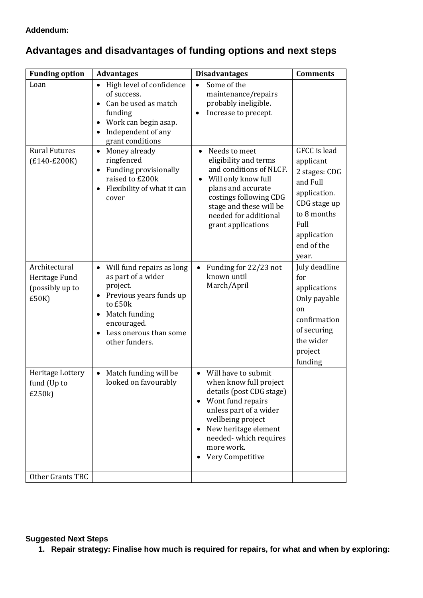# **Advantages and disadvantages of funding options and next steps**

| <b>Funding option</b>                                      | <b>Advantages</b>                                                                                                                                                                          | <b>Disadvantages</b>                                                                                                                                                                                                                                                                 | <b>Comments</b>                                                                                                                                     |
|------------------------------------------------------------|--------------------------------------------------------------------------------------------------------------------------------------------------------------------------------------------|--------------------------------------------------------------------------------------------------------------------------------------------------------------------------------------------------------------------------------------------------------------------------------------|-----------------------------------------------------------------------------------------------------------------------------------------------------|
| Loan                                                       | High level of confidence<br>of success.<br>Can be used as match<br>funding<br>Work can begin asap.<br>Independent of any<br>grant conditions                                               | Some of the<br>$\bullet$<br>maintenance/repairs<br>probably ineligible.<br>Increase to precept.<br>$\bullet$                                                                                                                                                                         |                                                                                                                                                     |
| <b>Rural Futures</b><br>$(E140-E200K)$                     | Money already<br>$\bullet$<br>ringfenced<br>Funding provisionally<br>$\bullet$<br>raised to £200k<br>Flexibility of what it can<br>cover                                                   | Needs to meet<br>$\bullet$<br>eligibility and terms<br>and conditions of NLCF.<br>Will only know full<br>plans and accurate<br>costings following CDG<br>stage and these will be<br>needed for additional<br>grant applications                                                      | GFCC is lead<br>applicant<br>2 stages: CDG<br>and Full<br>application.<br>CDG stage up<br>to 8 months<br>Full<br>application<br>end of the<br>year. |
| Architectural<br>Heritage Fund<br>(possibly up to<br>£50K) | Will fund repairs as long<br>$\bullet$<br>as part of a wider<br>project.<br>Previous years funds up<br>to £50k<br>Match funding<br>encouraged.<br>Less onerous than some<br>other funders. | Funding for 22/23 not<br>$\bullet$<br>known until<br>March/April                                                                                                                                                                                                                     | July deadline<br>for<br>applications<br>Only payable<br>on<br>confirmation<br>of securing<br>the wider<br>project<br>funding                        |
| Heritage Lottery<br>fund (Up to<br>£250k)                  | Match funding will be<br>looked on favourably                                                                                                                                              | Will have to submit<br>$\bullet$<br>when know full project<br>details (post CDG stage)<br>Wont fund repairs<br>$\bullet$<br>unless part of a wider<br>wellbeing project<br>New heritage element<br>$\bullet$<br>needed-which requires<br>more work.<br>Very Competitive<br>$\bullet$ |                                                                                                                                                     |
| Other Grants TBC                                           |                                                                                                                                                                                            |                                                                                                                                                                                                                                                                                      |                                                                                                                                                     |

#### **Suggested Next Steps**

**1. Repair strategy: Finalise how much is required for repairs, for what and when by exploring:**